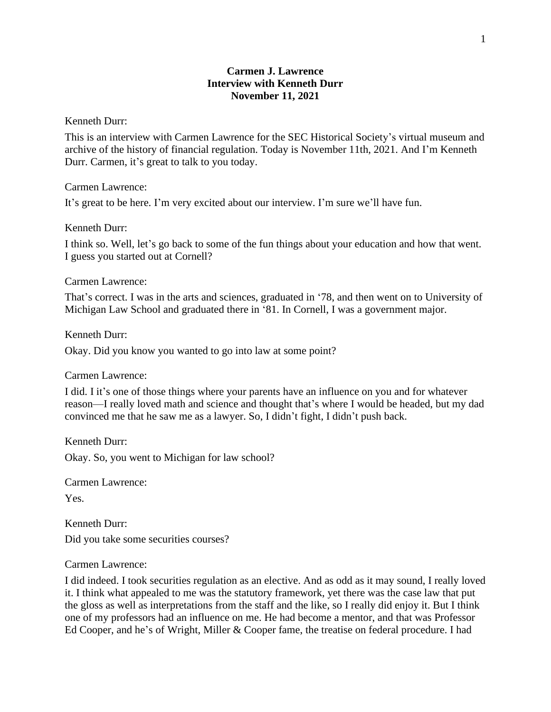## **Carmen J. Lawrence Interview with Kenneth Durr November 11, 2021**

#### Kenneth Durr:

This is an interview with Carmen Lawrence for the SEC Historical Society's virtual museum and archive of the history of financial regulation. Today is November 11th, 2021. And I'm Kenneth Durr. Carmen, it's great to talk to you today.

Carmen Lawrence:

It's great to be here. I'm very excited about our interview. I'm sure we'll have fun.

Kenneth Durr:

I think so. Well, let's go back to some of the fun things about your education and how that went. I guess you started out at Cornell?

#### Carmen Lawrence:

That's correct. I was in the arts and sciences, graduated in '78, and then went on to University of Michigan Law School and graduated there in '81. In Cornell, I was a government major.

Kenneth Durr:

Okay. Did you know you wanted to go into law at some point?

Carmen Lawrence:

I did. I it's one of those things where your parents have an influence on you and for whatever reason—I really loved math and science and thought that's where I would be headed, but my dad convinced me that he saw me as a lawyer. So, I didn't fight, I didn't push back.

Kenneth Durr: Okay. So, you went to Michigan for law school?

Carmen Lawrence: Yes.

Kenneth Durr: Did you take some securities courses?

### Carmen Lawrence:

I did indeed. I took securities regulation as an elective. And as odd as it may sound, I really loved it. I think what appealed to me was the statutory framework, yet there was the case law that put the gloss as well as interpretations from the staff and the like, so I really did enjoy it. But I think one of my professors had an influence on me. He had become a mentor, and that was Professor Ed Cooper, and he's of Wright, Miller & Cooper fame, the treatise on federal procedure. I had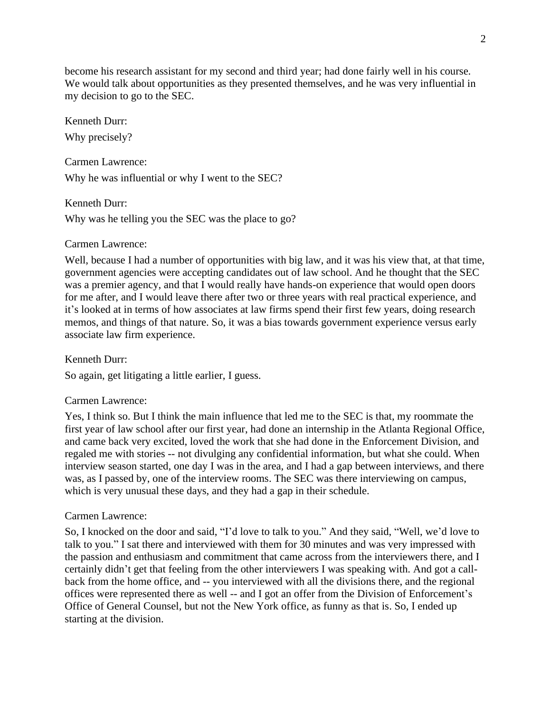become his research assistant for my second and third year; had done fairly well in his course. We would talk about opportunities as they presented themselves, and he was very influential in my decision to go to the SEC.

Kenneth Durr: Why precisely?

Carmen Lawrence: Why he was influential or why I went to the SEC?

Kenneth Durr: Why was he telling you the SEC was the place to go?

## Carmen Lawrence:

Well, because I had a number of opportunities with big law, and it was his view that, at that time, government agencies were accepting candidates out of law school. And he thought that the SEC was a premier agency, and that I would really have hands-on experience that would open doors for me after, and I would leave there after two or three years with real practical experience, and it's looked at in terms of how associates at law firms spend their first few years, doing research memos, and things of that nature. So, it was a bias towards government experience versus early associate law firm experience.

Kenneth Durr:

So again, get litigating a little earlier, I guess.

# Carmen Lawrence:

Yes, I think so. But I think the main influence that led me to the SEC is that, my roommate the first year of law school after our first year, had done an internship in the Atlanta Regional Office, and came back very excited, loved the work that she had done in the Enforcement Division, and regaled me with stories -- not divulging any confidential information, but what she could. When interview season started, one day I was in the area, and I had a gap between interviews, and there was, as I passed by, one of the interview rooms. The SEC was there interviewing on campus, which is very unusual these days, and they had a gap in their schedule.

## Carmen Lawrence:

So, I knocked on the door and said, "I'd love to talk to you." And they said, "Well, we'd love to talk to you." I sat there and interviewed with them for 30 minutes and was very impressed with the passion and enthusiasm and commitment that came across from the interviewers there, and I certainly didn't get that feeling from the other interviewers I was speaking with. And got a callback from the home office, and -- you interviewed with all the divisions there, and the regional offices were represented there as well -- and I got an offer from the Division of Enforcement's Office of General Counsel, but not the New York office, as funny as that is. So, I ended up starting at the division.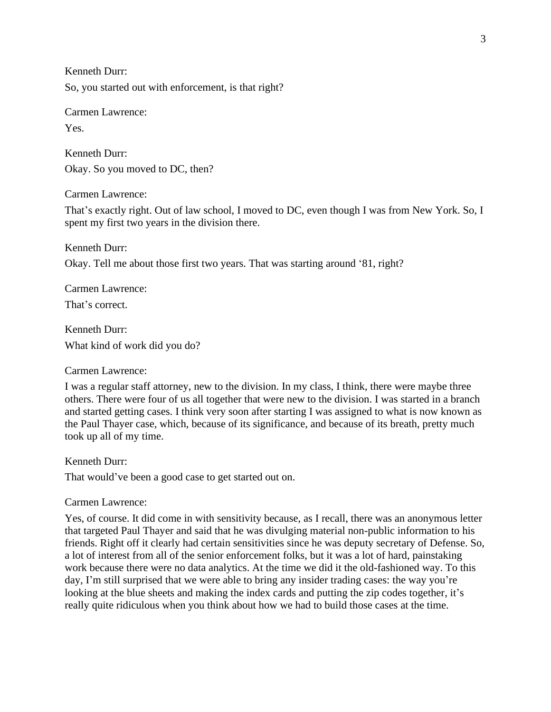Kenneth Durr: So, you started out with enforcement, is that right?

Carmen Lawrence: Yes.

Kenneth Durr: Okay. So you moved to DC, then?

Carmen Lawrence:

That's exactly right. Out of law school, I moved to DC, even though I was from New York. So, I spent my first two years in the division there.

Kenneth Durr: Okay. Tell me about those first two years. That was starting around '81, right?

Carmen Lawrence: That's correct.

Kenneth Durr: What kind of work did you do?

Carmen Lawrence:

I was a regular staff attorney, new to the division. In my class, I think, there were maybe three others. There were four of us all together that were new to the division. I was started in a branch and started getting cases. I think very soon after starting I was assigned to what is now known as the Paul Thayer case, which, because of its significance, and because of its breath, pretty much took up all of my time.

Kenneth Durr:

That would've been a good case to get started out on.

Carmen Lawrence:

Yes, of course. It did come in with sensitivity because, as I recall, there was an anonymous letter that targeted Paul Thayer and said that he was divulging material non-public information to his friends. Right off it clearly had certain sensitivities since he was deputy secretary of Defense. So, a lot of interest from all of the senior enforcement folks, but it was a lot of hard, painstaking work because there were no data analytics. At the time we did it the old-fashioned way. To this day, I'm still surprised that we were able to bring any insider trading cases: the way you're looking at the blue sheets and making the index cards and putting the zip codes together, it's really quite ridiculous when you think about how we had to build those cases at the time.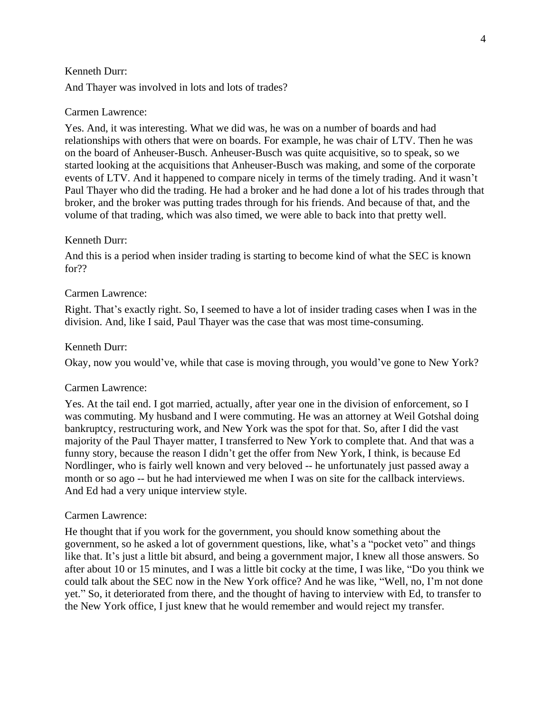And Thayer was involved in lots and lots of trades?

#### Carmen Lawrence:

Yes. And, it was interesting. What we did was, he was on a number of boards and had relationships with others that were on boards. For example, he was chair of LTV. Then he was on the board of Anheuser-Busch. Anheuser-Busch was quite acquisitive, so to speak, so we started looking at the acquisitions that Anheuser-Busch was making, and some of the corporate events of LTV. And it happened to compare nicely in terms of the timely trading. And it wasn't Paul Thayer who did the trading. He had a broker and he had done a lot of his trades through that broker, and the broker was putting trades through for his friends. And because of that, and the volume of that trading, which was also timed, we were able to back into that pretty well.

#### Kenneth Durr:

And this is a period when insider trading is starting to become kind of what the SEC is known for??

### Carmen Lawrence:

Right. That's exactly right. So, I seemed to have a lot of insider trading cases when I was in the division. And, like I said, Paul Thayer was the case that was most time-consuming.

#### Kenneth Durr:

Okay, now you would've, while that case is moving through, you would've gone to New York?

#### Carmen Lawrence:

Yes. At the tail end. I got married, actually, after year one in the division of enforcement, so I was commuting. My husband and I were commuting. He was an attorney at Weil Gotshal doing bankruptcy, restructuring work, and New York was the spot for that. So, after I did the vast majority of the Paul Thayer matter, I transferred to New York to complete that. And that was a funny story, because the reason I didn't get the offer from New York, I think, is because Ed Nordlinger, who is fairly well known and very beloved -- he unfortunately just passed away a month or so ago -- but he had interviewed me when I was on site for the callback interviews. And Ed had a very unique interview style.

#### Carmen Lawrence:

He thought that if you work for the government, you should know something about the government, so he asked a lot of government questions, like, what's a "pocket veto" and things like that. It's just a little bit absurd, and being a government major, I knew all those answers. So after about 10 or 15 minutes, and I was a little bit cocky at the time, I was like, "Do you think we could talk about the SEC now in the New York office? And he was like, "Well, no, I'm not done yet." So, it deteriorated from there, and the thought of having to interview with Ed, to transfer to the New York office, I just knew that he would remember and would reject my transfer.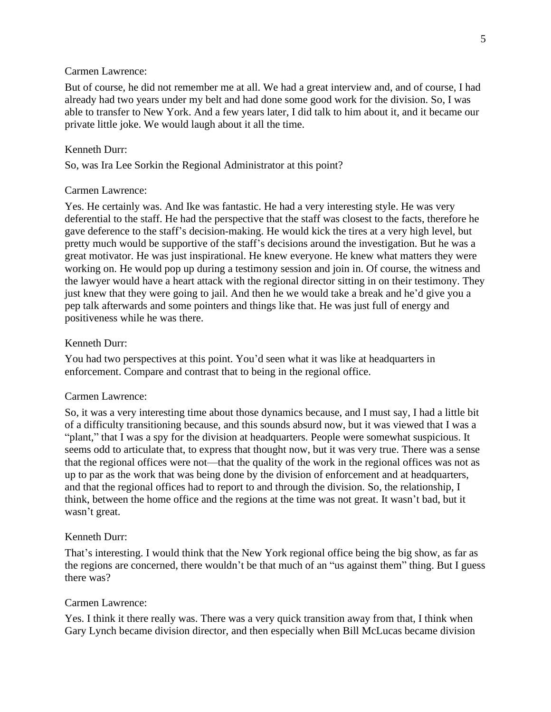But of course, he did not remember me at all. We had a great interview and, and of course, I had already had two years under my belt and had done some good work for the division. So, I was able to transfer to New York. And a few years later, I did talk to him about it, and it became our private little joke. We would laugh about it all the time.

#### Kenneth Durr:

So, was Ira Lee Sorkin the Regional Administrator at this point?

#### Carmen Lawrence:

Yes. He certainly was. And Ike was fantastic. He had a very interesting style. He was very deferential to the staff. He had the perspective that the staff was closest to the facts, therefore he gave deference to the staff's decision-making. He would kick the tires at a very high level, but pretty much would be supportive of the staff's decisions around the investigation. But he was a great motivator. He was just inspirational. He knew everyone. He knew what matters they were working on. He would pop up during a testimony session and join in. Of course, the witness and the lawyer would have a heart attack with the regional director sitting in on their testimony. They just knew that they were going to jail. And then he we would take a break and he'd give you a pep talk afterwards and some pointers and things like that. He was just full of energy and positiveness while he was there.

### Kenneth Durr:

You had two perspectives at this point. You'd seen what it was like at headquarters in enforcement. Compare and contrast that to being in the regional office.

#### Carmen Lawrence:

So, it was a very interesting time about those dynamics because, and I must say, I had a little bit of a difficulty transitioning because, and this sounds absurd now, but it was viewed that I was a "plant," that I was a spy for the division at headquarters. People were somewhat suspicious. It seems odd to articulate that, to express that thought now, but it was very true. There was a sense that the regional offices were not—that the quality of the work in the regional offices was not as up to par as the work that was being done by the division of enforcement and at headquarters, and that the regional offices had to report to and through the division. So, the relationship, I think, between the home office and the regions at the time was not great. It wasn't bad, but it wasn't great.

#### Kenneth Durr:

That's interesting. I would think that the New York regional office being the big show, as far as the regions are concerned, there wouldn't be that much of an "us against them" thing. But I guess there was?

### Carmen Lawrence:

Yes. I think it there really was. There was a very quick transition away from that, I think when Gary Lynch became division director, and then especially when Bill McLucas became division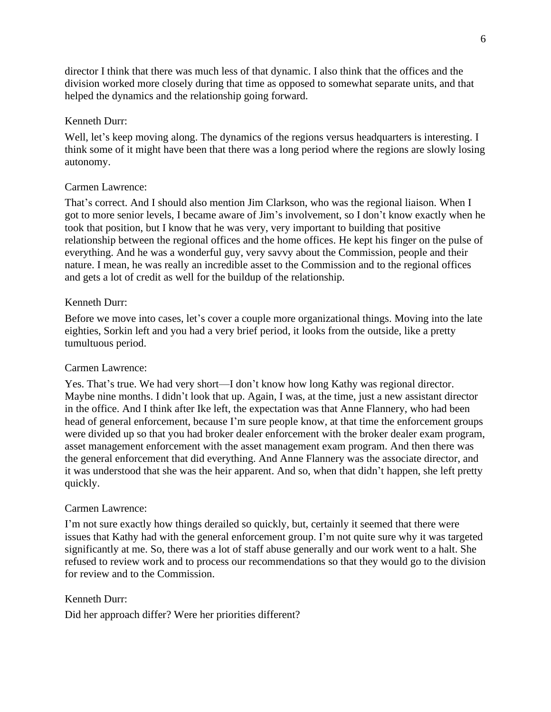director I think that there was much less of that dynamic. I also think that the offices and the division worked more closely during that time as opposed to somewhat separate units, and that helped the dynamics and the relationship going forward.

### Kenneth Durr:

Well, let's keep moving along. The dynamics of the regions versus headquarters is interesting. I think some of it might have been that there was a long period where the regions are slowly losing autonomy.

## Carmen Lawrence:

That's correct. And I should also mention Jim Clarkson, who was the regional liaison. When I got to more senior levels, I became aware of Jim's involvement, so I don't know exactly when he took that position, but I know that he was very, very important to building that positive relationship between the regional offices and the home offices. He kept his finger on the pulse of everything. And he was a wonderful guy, very savvy about the Commission, people and their nature. I mean, he was really an incredible asset to the Commission and to the regional offices and gets a lot of credit as well for the buildup of the relationship.

### Kenneth Durr:

Before we move into cases, let's cover a couple more organizational things. Moving into the late eighties, Sorkin left and you had a very brief period, it looks from the outside, like a pretty tumultuous period.

### Carmen Lawrence:

Yes. That's true. We had very short—I don't know how long Kathy was regional director. Maybe nine months. I didn't look that up. Again, I was, at the time, just a new assistant director in the office. And I think after Ike left, the expectation was that Anne Flannery, who had been head of general enforcement, because I'm sure people know, at that time the enforcement groups were divided up so that you had broker dealer enforcement with the broker dealer exam program, asset management enforcement with the asset management exam program. And then there was the general enforcement that did everything. And Anne Flannery was the associate director, and it was understood that she was the heir apparent. And so, when that didn't happen, she left pretty quickly.

### Carmen Lawrence:

I'm not sure exactly how things derailed so quickly, but, certainly it seemed that there were issues that Kathy had with the general enforcement group. I'm not quite sure why it was targeted significantly at me. So, there was a lot of staff abuse generally and our work went to a halt. She refused to review work and to process our recommendations so that they would go to the division for review and to the Commission.

### Kenneth Durr:

Did her approach differ? Were her priorities different?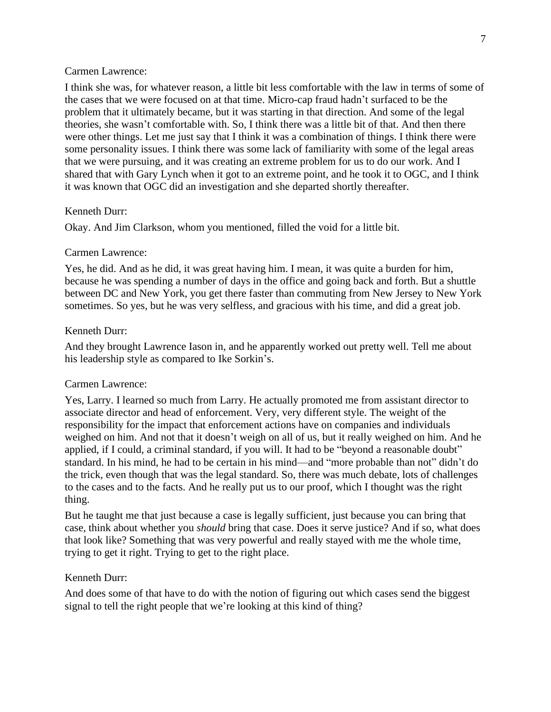I think she was, for whatever reason, a little bit less comfortable with the law in terms of some of the cases that we were focused on at that time. Micro-cap fraud hadn't surfaced to be the problem that it ultimately became, but it was starting in that direction. And some of the legal theories, she wasn't comfortable with. So, I think there was a little bit of that. And then there were other things. Let me just say that I think it was a combination of things. I think there were some personality issues. I think there was some lack of familiarity with some of the legal areas that we were pursuing, and it was creating an extreme problem for us to do our work. And I shared that with Gary Lynch when it got to an extreme point, and he took it to OGC, and I think it was known that OGC did an investigation and she departed shortly thereafter.

#### Kenneth Durr:

Okay. And Jim Clarkson, whom you mentioned, filled the void for a little bit.

#### Carmen Lawrence:

Yes, he did. And as he did, it was great having him. I mean, it was quite a burden for him, because he was spending a number of days in the office and going back and forth. But a shuttle between DC and New York, you get there faster than commuting from New Jersey to New York sometimes. So yes, but he was very selfless, and gracious with his time, and did a great job.

### Kenneth Durr:

And they brought Lawrence Iason in, and he apparently worked out pretty well. Tell me about his leadership style as compared to Ike Sorkin's.

#### Carmen Lawrence:

Yes, Larry. I learned so much from Larry. He actually promoted me from assistant director to associate director and head of enforcement. Very, very different style. The weight of the responsibility for the impact that enforcement actions have on companies and individuals weighed on him. And not that it doesn't weigh on all of us, but it really weighed on him. And he applied, if I could, a criminal standard, if you will. It had to be "beyond a reasonable doubt" standard. In his mind, he had to be certain in his mind—and "more probable than not" didn't do the trick, even though that was the legal standard. So, there was much debate, lots of challenges to the cases and to the facts. And he really put us to our proof, which I thought was the right thing.

But he taught me that just because a case is legally sufficient, just because you can bring that case, think about whether you *should* bring that case. Does it serve justice? And if so, what does that look like? Something that was very powerful and really stayed with me the whole time, trying to get it right. Trying to get to the right place.

#### Kenneth Durr:

And does some of that have to do with the notion of figuring out which cases send the biggest signal to tell the right people that we're looking at this kind of thing?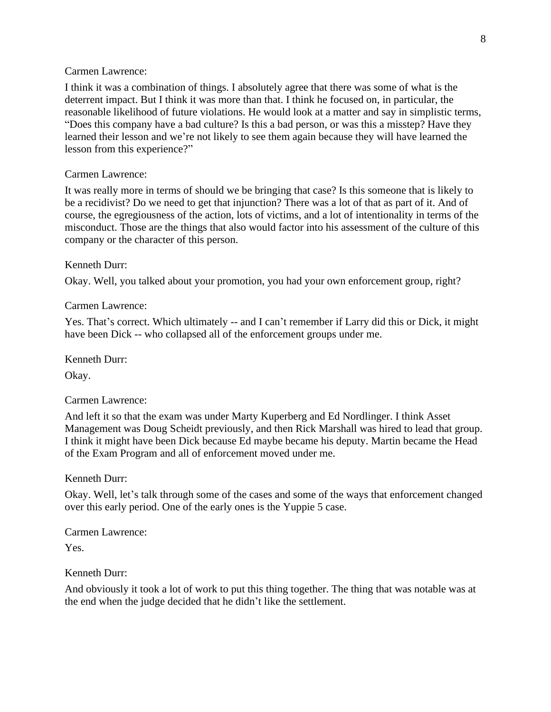I think it was a combination of things. I absolutely agree that there was some of what is the deterrent impact. But I think it was more than that. I think he focused on, in particular, the reasonable likelihood of future violations. He would look at a matter and say in simplistic terms, "Does this company have a bad culture? Is this a bad person, or was this a misstep? Have they learned their lesson and we're not likely to see them again because they will have learned the lesson from this experience?"

#### Carmen Lawrence:

It was really more in terms of should we be bringing that case? Is this someone that is likely to be a recidivist? Do we need to get that injunction? There was a lot of that as part of it. And of course, the egregiousness of the action, lots of victims, and a lot of intentionality in terms of the misconduct. Those are the things that also would factor into his assessment of the culture of this company or the character of this person.

### Kenneth Durr:

Okay. Well, you talked about your promotion, you had your own enforcement group, right?

#### Carmen Lawrence:

Yes. That's correct. Which ultimately -- and I can't remember if Larry did this or Dick, it might have been Dick -- who collapsed all of the enforcement groups under me.

Kenneth Durr:

Okay.

### Carmen Lawrence:

And left it so that the exam was under Marty Kuperberg and Ed Nordlinger. I think Asset Management was Doug Scheidt previously, and then Rick Marshall was hired to lead that group. I think it might have been Dick because Ed maybe became his deputy. Martin became the Head of the Exam Program and all of enforcement moved under me.

Kenneth Durr:

Okay. Well, let's talk through some of the cases and some of the ways that enforcement changed over this early period. One of the early ones is the Yuppie 5 case.

Carmen Lawrence:

Yes.

Kenneth Durr:

And obviously it took a lot of work to put this thing together. The thing that was notable was at the end when the judge decided that he didn't like the settlement.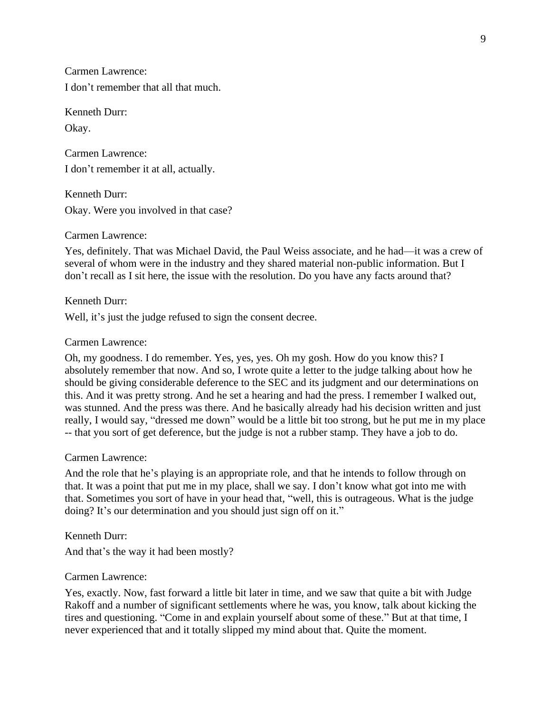Carmen Lawrence: I don't remember that all that much.

Kenneth Durr: Okay.

Carmen Lawrence: I don't remember it at all, actually.

Kenneth Durr: Okay. Were you involved in that case?

## Carmen Lawrence:

Yes, definitely. That was Michael David, the Paul Weiss associate, and he had—it was a crew of several of whom were in the industry and they shared material non-public information. But I don't recall as I sit here, the issue with the resolution. Do you have any facts around that?

Kenneth Durr:

Well, it's just the judge refused to sign the consent decree.

## Carmen Lawrence:

Oh, my goodness. I do remember. Yes, yes, yes. Oh my gosh. How do you know this? I absolutely remember that now. And so, I wrote quite a letter to the judge talking about how he should be giving considerable deference to the SEC and its judgment and our determinations on this. And it was pretty strong. And he set a hearing and had the press. I remember I walked out, was stunned. And the press was there. And he basically already had his decision written and just really, I would say, "dressed me down" would be a little bit too strong, but he put me in my place -- that you sort of get deference, but the judge is not a rubber stamp. They have a job to do.

## Carmen Lawrence:

And the role that he's playing is an appropriate role, and that he intends to follow through on that. It was a point that put me in my place, shall we say. I don't know what got into me with that. Sometimes you sort of have in your head that, "well, this is outrageous. What is the judge doing? It's our determination and you should just sign off on it."

Kenneth Durr:

And that's the way it had been mostly?

## Carmen Lawrence:

Yes, exactly. Now, fast forward a little bit later in time, and we saw that quite a bit with Judge Rakoff and a number of significant settlements where he was, you know, talk about kicking the tires and questioning. "Come in and explain yourself about some of these." But at that time, I never experienced that and it totally slipped my mind about that. Quite the moment.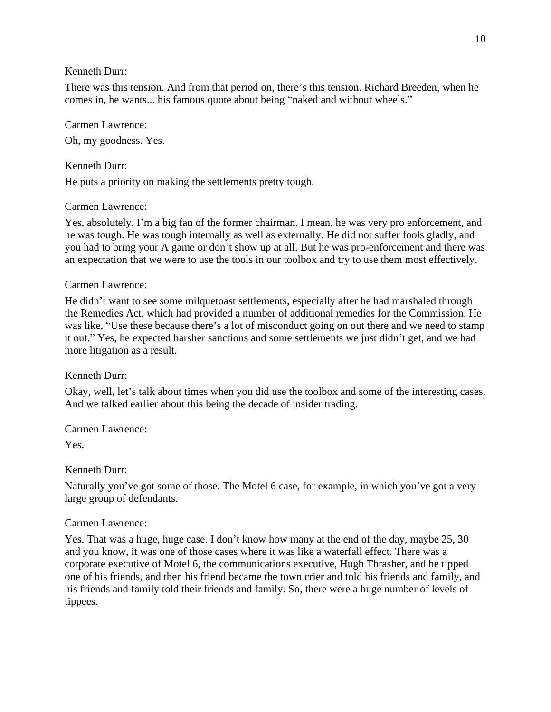There was this tension. And from that period on, there's this tension. Richard Breeden, when he comes in, he wants... his famous quote about being "naked and without wheels."

## Carmen Lawrence:

Oh, my goodness. Yes.

# Kenneth Durr:

He puts a priority on making the settlements pretty tough.

## Carmen Lawrence:

Yes, absolutely. I'm a big fan of the former chairman. I mean, he was very pro enforcement, and he was tough. He was tough internally as well as externally. He did not suffer fools gladly, and you had to bring your A game or don't show up at all. But he was pro-enforcement and there was an expectation that we were to use the tools in our toolbox and try to use them most effectively.

## Carmen Lawrence:

He didn't want to see some milquetoast settlements, especially after he had marshaled through the Remedies Act, which had provided a number of additional remedies for the Commission. He was like, "Use these because there's a lot of misconduct going on out there and we need to stamp it out." Yes, he expected harsher sanctions and some settlements we just didn't get, and we had more litigation as a result.

# Kenneth Durr:

Okay, well, let's talk about times when you did use the toolbox and some of the interesting cases. And we talked earlier about this being the decade of insider trading.

Carmen Lawrence:

Yes.

# Kenneth Durr:

Naturally you've got some of those. The Motel 6 case, for example, in which you've got a very large group of defendants.

## Carmen Lawrence:

Yes. That was a huge, huge case. I don't know how many at the end of the day, maybe 25, 30 and you know, it was one of those cases where it was like a waterfall effect. There was a corporate executive of Motel 6, the communications executive, Hugh Thrasher, and he tipped one of his friends, and then his friend became the town crier and told his friends and family, and his friends and family told their friends and family. So, there were a huge number of levels of tippees.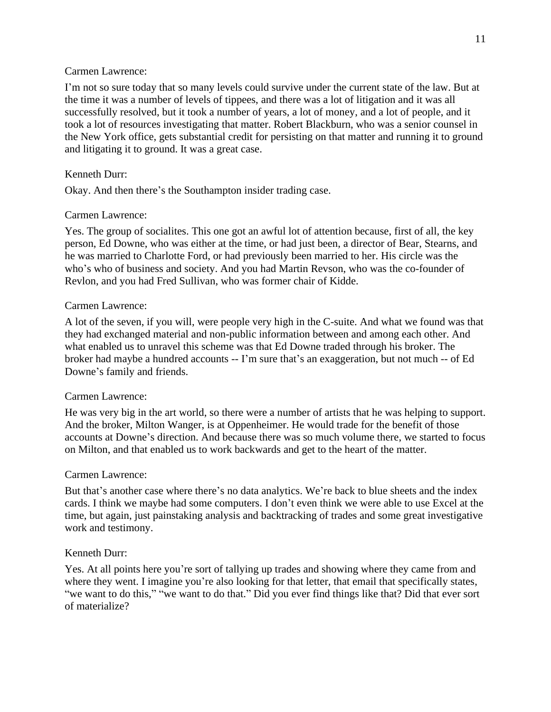I'm not so sure today that so many levels could survive under the current state of the law. But at the time it was a number of levels of tippees, and there was a lot of litigation and it was all successfully resolved, but it took a number of years, a lot of money, and a lot of people, and it took a lot of resources investigating that matter. Robert Blackburn, who was a senior counsel in the New York office, gets substantial credit for persisting on that matter and running it to ground and litigating it to ground. It was a great case.

## Kenneth Durr:

Okay. And then there's the Southampton insider trading case.

## Carmen Lawrence:

Yes. The group of socialites. This one got an awful lot of attention because, first of all, the key person, Ed Downe, who was either at the time, or had just been, a director of Bear, Stearns, and he was married to Charlotte Ford, or had previously been married to her. His circle was the who's who of business and society. And you had Martin Revson, who was the co-founder of Revlon, and you had Fred Sullivan, who was former chair of Kidde.

## Carmen Lawrence:

A lot of the seven, if you will, were people very high in the C-suite. And what we found was that they had exchanged material and non-public information between and among each other. And what enabled us to unravel this scheme was that Ed Downe traded through his broker. The broker had maybe a hundred accounts -- I'm sure that's an exaggeration, but not much -- of Ed Downe's family and friends.

## Carmen Lawrence:

He was very big in the art world, so there were a number of artists that he was helping to support. And the broker, Milton Wanger, is at Oppenheimer. He would trade for the benefit of those accounts at Downe's direction. And because there was so much volume there, we started to focus on Milton, and that enabled us to work backwards and get to the heart of the matter.

## Carmen Lawrence:

But that's another case where there's no data analytics. We're back to blue sheets and the index cards. I think we maybe had some computers. I don't even think we were able to use Excel at the time, but again, just painstaking analysis and backtracking of trades and some great investigative work and testimony.

# Kenneth Durr:

Yes. At all points here you're sort of tallying up trades and showing where they came from and where they went. I imagine you're also looking for that letter, that email that specifically states, "we want to do this," "we want to do that." Did you ever find things like that? Did that ever sort of materialize?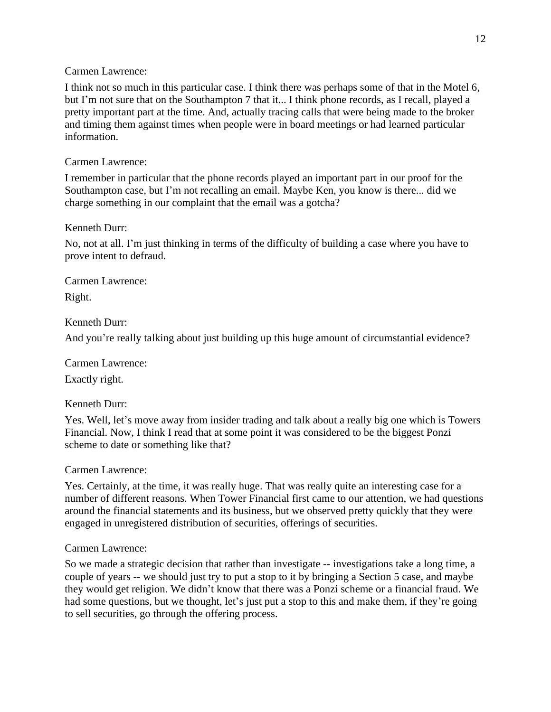I think not so much in this particular case. I think there was perhaps some of that in the Motel 6, but I'm not sure that on the Southampton 7 that it... I think phone records, as I recall, played a pretty important part at the time. And, actually tracing calls that were being made to the broker and timing them against times when people were in board meetings or had learned particular information.

## Carmen Lawrence:

I remember in particular that the phone records played an important part in our proof for the Southampton case, but I'm not recalling an email. Maybe Ken, you know is there... did we charge something in our complaint that the email was a gotcha?

## Kenneth Durr:

No, not at all. I'm just thinking in terms of the difficulty of building a case where you have to prove intent to defraud.

Carmen Lawrence:

Right.

# Kenneth Durr:

And you're really talking about just building up this huge amount of circumstantial evidence?

Carmen Lawrence: Exactly right.

## Kenneth Durr:

Yes. Well, let's move away from insider trading and talk about a really big one which is Towers Financial. Now, I think I read that at some point it was considered to be the biggest Ponzi scheme to date or something like that?

## Carmen Lawrence:

Yes. Certainly, at the time, it was really huge. That was really quite an interesting case for a number of different reasons. When Tower Financial first came to our attention, we had questions around the financial statements and its business, but we observed pretty quickly that they were engaged in unregistered distribution of securities, offerings of securities.

## Carmen Lawrence:

So we made a strategic decision that rather than investigate -- investigations take a long time, a couple of years -- we should just try to put a stop to it by bringing a Section 5 case, and maybe they would get religion. We didn't know that there was a Ponzi scheme or a financial fraud. We had some questions, but we thought, let's just put a stop to this and make them, if they're going to sell securities, go through the offering process.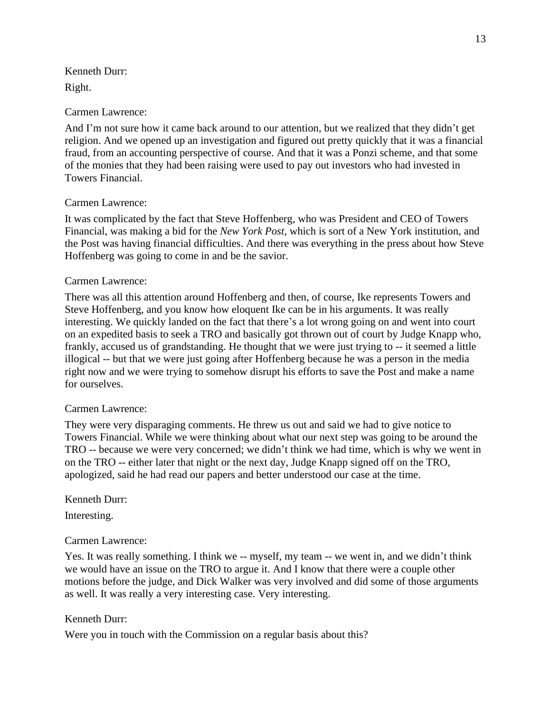Kenneth Durr: Right.

## Carmen Lawrence:

And I'm not sure how it came back around to our attention, but we realized that they didn't get religion. And we opened up an investigation and figured out pretty quickly that it was a financial fraud, from an accounting perspective of course. And that it was a Ponzi scheme, and that some of the monies that they had been raising were used to pay out investors who had invested in Towers Financial.

## Carmen Lawrence:

It was complicated by the fact that Steve Hoffenberg, who was President and CEO of Towers Financial, was making a bid for the *New York Post*, which is sort of a New York institution, and the Post was having financial difficulties. And there was everything in the press about how Steve Hoffenberg was going to come in and be the savior.

## Carmen Lawrence:

There was all this attention around Hoffenberg and then, of course, Ike represents Towers and Steve Hoffenberg, and you know how eloquent Ike can be in his arguments. It was really interesting. We quickly landed on the fact that there's a lot wrong going on and went into court on an expedited basis to seek a TRO and basically got thrown out of court by Judge Knapp who, frankly, accused us of grandstanding. He thought that we were just trying to -- it seemed a little illogical -- but that we were just going after Hoffenberg because he was a person in the media right now and we were trying to somehow disrupt his efforts to save the Post and make a name for ourselves.

## Carmen Lawrence:

They were very disparaging comments. He threw us out and said we had to give notice to Towers Financial. While we were thinking about what our next step was going to be around the TRO -- because we were very concerned; we didn't think we had time, which is why we went in on the TRO -- either later that night or the next day, Judge Knapp signed off on the TRO, apologized, said he had read our papers and better understood our case at the time.

## Kenneth Durr:

Interesting.

# Carmen Lawrence:

Yes. It was really something. I think we -- myself, my team -- we went in, and we didn't think we would have an issue on the TRO to argue it. And I know that there were a couple other motions before the judge, and Dick Walker was very involved and did some of those arguments as well. It was really a very interesting case. Very interesting.

# Kenneth Durr:

Were you in touch with the Commission on a regular basis about this?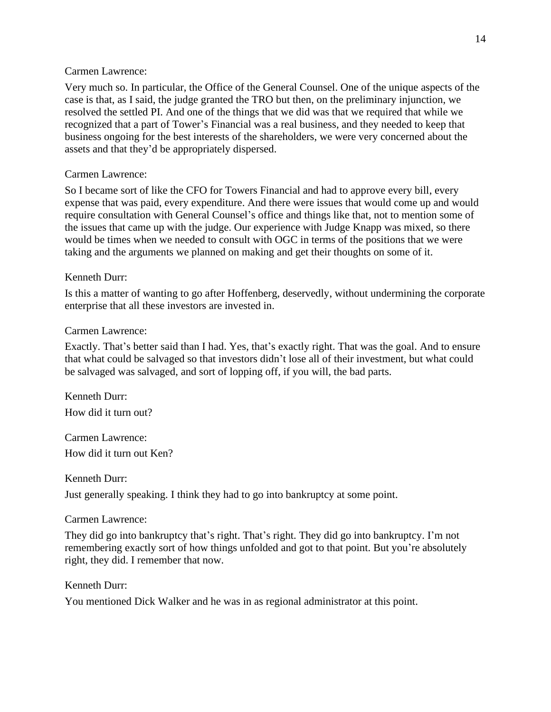Very much so. In particular, the Office of the General Counsel. One of the unique aspects of the case is that, as I said, the judge granted the TRO but then, on the preliminary injunction, we resolved the settled PI. And one of the things that we did was that we required that while we recognized that a part of Tower's Financial was a real business, and they needed to keep that business ongoing for the best interests of the shareholders, we were very concerned about the assets and that they'd be appropriately dispersed.

## Carmen Lawrence:

So I became sort of like the CFO for Towers Financial and had to approve every bill, every expense that was paid, every expenditure. And there were issues that would come up and would require consultation with General Counsel's office and things like that, not to mention some of the issues that came up with the judge. Our experience with Judge Knapp was mixed, so there would be times when we needed to consult with OGC in terms of the positions that we were taking and the arguments we planned on making and get their thoughts on some of it.

## Kenneth Durr:

Is this a matter of wanting to go after Hoffenberg, deservedly, without undermining the corporate enterprise that all these investors are invested in.

## Carmen Lawrence:

Exactly. That's better said than I had. Yes, that's exactly right. That was the goal. And to ensure that what could be salvaged so that investors didn't lose all of their investment, but what could be salvaged was salvaged, and sort of lopping off, if you will, the bad parts.

Kenneth Durr: How did it turn out?

Carmen Lawrence: How did it turn out Ken?

Kenneth Durr:

Just generally speaking. I think they had to go into bankruptcy at some point.

# Carmen Lawrence:

They did go into bankruptcy that's right. That's right. They did go into bankruptcy. I'm not remembering exactly sort of how things unfolded and got to that point. But you're absolutely right, they did. I remember that now.

Kenneth Durr:

You mentioned Dick Walker and he was in as regional administrator at this point.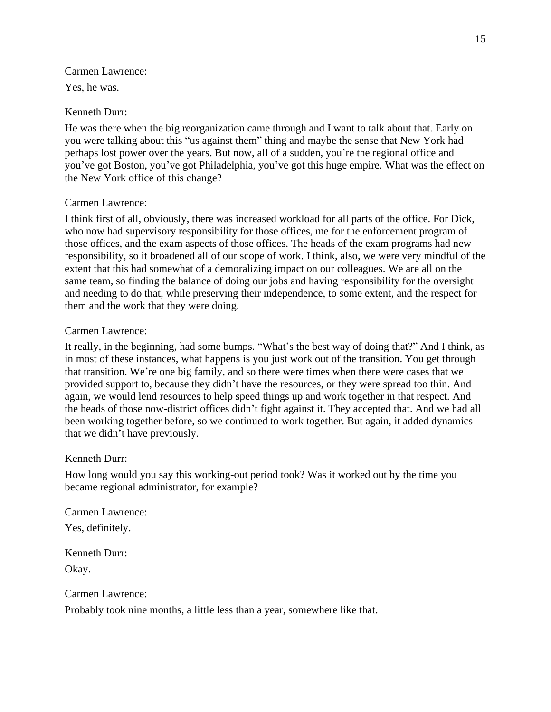Yes, he was.

## Kenneth Durr:

He was there when the big reorganization came through and I want to talk about that. Early on you were talking about this "us against them" thing and maybe the sense that New York had perhaps lost power over the years. But now, all of a sudden, you're the regional office and you've got Boston, you've got Philadelphia, you've got this huge empire. What was the effect on the New York office of this change?

## Carmen Lawrence:

I think first of all, obviously, there was increased workload for all parts of the office. For Dick, who now had supervisory responsibility for those offices, me for the enforcement program of those offices, and the exam aspects of those offices. The heads of the exam programs had new responsibility, so it broadened all of our scope of work. I think, also, we were very mindful of the extent that this had somewhat of a demoralizing impact on our colleagues. We are all on the same team, so finding the balance of doing our jobs and having responsibility for the oversight and needing to do that, while preserving their independence, to some extent, and the respect for them and the work that they were doing.

## Carmen Lawrence:

It really, in the beginning, had some bumps. "What's the best way of doing that?" And I think, as in most of these instances, what happens is you just work out of the transition. You get through that transition. We're one big family, and so there were times when there were cases that we provided support to, because they didn't have the resources, or they were spread too thin. And again, we would lend resources to help speed things up and work together in that respect. And the heads of those now-district offices didn't fight against it. They accepted that. And we had all been working together before, so we continued to work together. But again, it added dynamics that we didn't have previously.

## Kenneth Durr:

How long would you say this working-out period took? Was it worked out by the time you became regional administrator, for example?

Carmen Lawrence: Yes, definitely.

Kenneth Durr: Okay.

Carmen Lawrence:

Probably took nine months, a little less than a year, somewhere like that.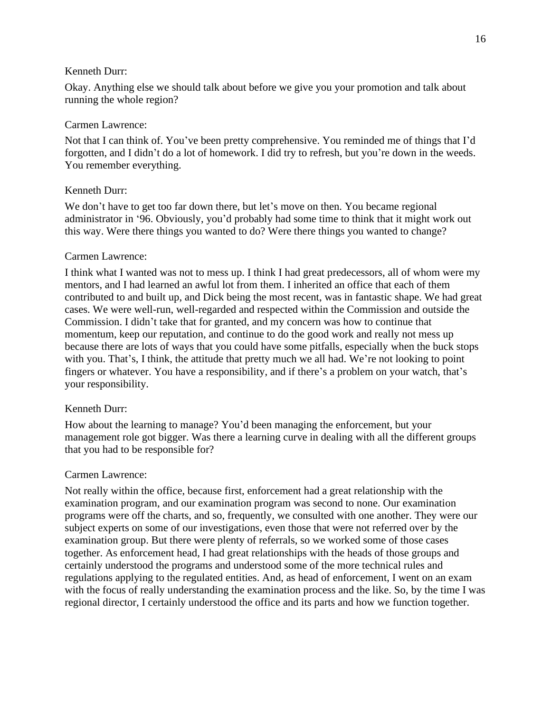Okay. Anything else we should talk about before we give you your promotion and talk about running the whole region?

## Carmen Lawrence:

Not that I can think of. You've been pretty comprehensive. You reminded me of things that I'd forgotten, and I didn't do a lot of homework. I did try to refresh, but you're down in the weeds. You remember everything.

### Kenneth Durr:

We don't have to get too far down there, but let's move on then. You became regional administrator in '96. Obviously, you'd probably had some time to think that it might work out this way. Were there things you wanted to do? Were there things you wanted to change?

### Carmen Lawrence:

I think what I wanted was not to mess up. I think I had great predecessors, all of whom were my mentors, and I had learned an awful lot from them. I inherited an office that each of them contributed to and built up, and Dick being the most recent, was in fantastic shape. We had great cases. We were well-run, well-regarded and respected within the Commission and outside the Commission. I didn't take that for granted, and my concern was how to continue that momentum, keep our reputation, and continue to do the good work and really not mess up because there are lots of ways that you could have some pitfalls, especially when the buck stops with you. That's, I think, the attitude that pretty much we all had. We're not looking to point fingers or whatever. You have a responsibility, and if there's a problem on your watch, that's your responsibility.

### Kenneth Durr:

How about the learning to manage? You'd been managing the enforcement, but your management role got bigger. Was there a learning curve in dealing with all the different groups that you had to be responsible for?

### Carmen Lawrence:

Not really within the office, because first, enforcement had a great relationship with the examination program, and our examination program was second to none. Our examination programs were off the charts, and so, frequently, we consulted with one another. They were our subject experts on some of our investigations, even those that were not referred over by the examination group. But there were plenty of referrals, so we worked some of those cases together. As enforcement head, I had great relationships with the heads of those groups and certainly understood the programs and understood some of the more technical rules and regulations applying to the regulated entities. And, as head of enforcement, I went on an exam with the focus of really understanding the examination process and the like. So, by the time I was regional director, I certainly understood the office and its parts and how we function together.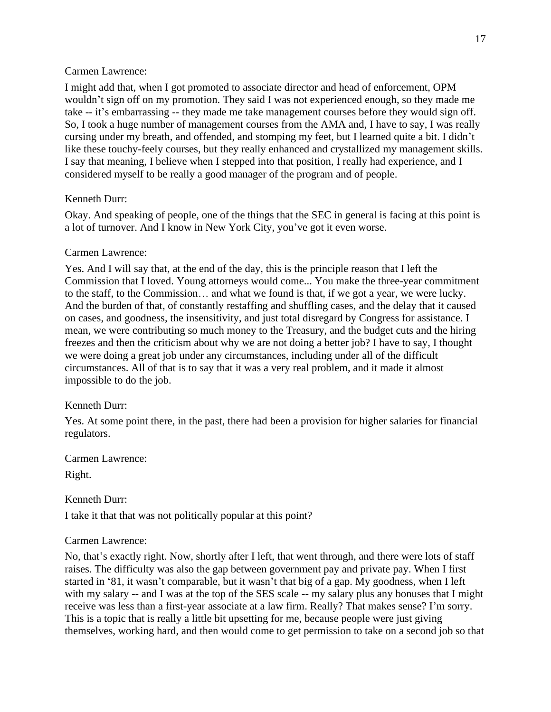I might add that, when I got promoted to associate director and head of enforcement, OPM wouldn't sign off on my promotion. They said I was not experienced enough, so they made me take -- it's embarrassing -- they made me take management courses before they would sign off. So, I took a huge number of management courses from the AMA and, I have to say, I was really cursing under my breath, and offended, and stomping my feet, but I learned quite a bit. I didn't like these touchy-feely courses, but they really enhanced and crystallized my management skills. I say that meaning, I believe when I stepped into that position, I really had experience, and I considered myself to be really a good manager of the program and of people.

# Kenneth Durr:

Okay. And speaking of people, one of the things that the SEC in general is facing at this point is a lot of turnover. And I know in New York City, you've got it even worse.

# Carmen Lawrence:

Yes. And I will say that, at the end of the day, this is the principle reason that I left the Commission that I loved. Young attorneys would come... You make the three-year commitment to the staff, to the Commission… and what we found is that, if we got a year, we were lucky. And the burden of that, of constantly restaffing and shuffling cases, and the delay that it caused on cases, and goodness, the insensitivity, and just total disregard by Congress for assistance. I mean, we were contributing so much money to the Treasury, and the budget cuts and the hiring freezes and then the criticism about why we are not doing a better job? I have to say, I thought we were doing a great job under any circumstances, including under all of the difficult circumstances. All of that is to say that it was a very real problem, and it made it almost impossible to do the job.

# Kenneth Durr:

Yes. At some point there, in the past, there had been a provision for higher salaries for financial regulators.

Carmen Lawrence:

Right.

Kenneth Durr:

I take it that that was not politically popular at this point?

# Carmen Lawrence:

No, that's exactly right. Now, shortly after I left, that went through, and there were lots of staff raises. The difficulty was also the gap between government pay and private pay. When I first started in '81, it wasn't comparable, but it wasn't that big of a gap. My goodness, when I left with my salary -- and I was at the top of the SES scale -- my salary plus any bonuses that I might receive was less than a first-year associate at a law firm. Really? That makes sense? I'm sorry. This is a topic that is really a little bit upsetting for me, because people were just giving themselves, working hard, and then would come to get permission to take on a second job so that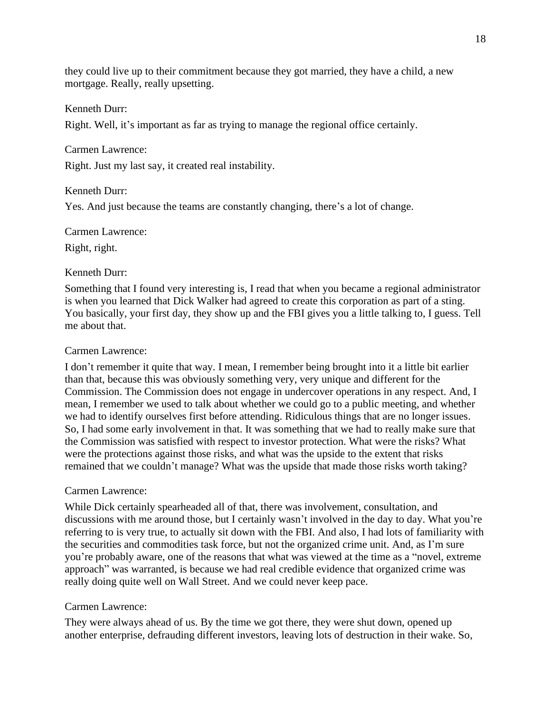they could live up to their commitment because they got married, they have a child, a new mortgage. Really, really upsetting.

### Kenneth Durr:

Right. Well, it's important as far as trying to manage the regional office certainly.

Carmen Lawrence:

Right. Just my last say, it created real instability.

#### Kenneth Durr:

Yes. And just because the teams are constantly changing, there's a lot of change.

Carmen Lawrence:

Right, right.

#### Kenneth Durr:

Something that I found very interesting is, I read that when you became a regional administrator is when you learned that Dick Walker had agreed to create this corporation as part of a sting. You basically, your first day, they show up and the FBI gives you a little talking to, I guess. Tell me about that.

#### Carmen Lawrence:

I don't remember it quite that way. I mean, I remember being brought into it a little bit earlier than that, because this was obviously something very, very unique and different for the Commission. The Commission does not engage in undercover operations in any respect. And, I mean, I remember we used to talk about whether we could go to a public meeting, and whether we had to identify ourselves first before attending. Ridiculous things that are no longer issues. So, I had some early involvement in that. It was something that we had to really make sure that the Commission was satisfied with respect to investor protection. What were the risks? What were the protections against those risks, and what was the upside to the extent that risks remained that we couldn't manage? What was the upside that made those risks worth taking?

#### Carmen Lawrence:

While Dick certainly spearheaded all of that, there was involvement, consultation, and discussions with me around those, but I certainly wasn't involved in the day to day. What you're referring to is very true, to actually sit down with the FBI. And also, I had lots of familiarity with the securities and commodities task force, but not the organized crime unit. And, as I'm sure you're probably aware, one of the reasons that what was viewed at the time as a "novel, extreme approach" was warranted, is because we had real credible evidence that organized crime was really doing quite well on Wall Street. And we could never keep pace.

#### Carmen Lawrence:

They were always ahead of us. By the time we got there, they were shut down, opened up another enterprise, defrauding different investors, leaving lots of destruction in their wake. So,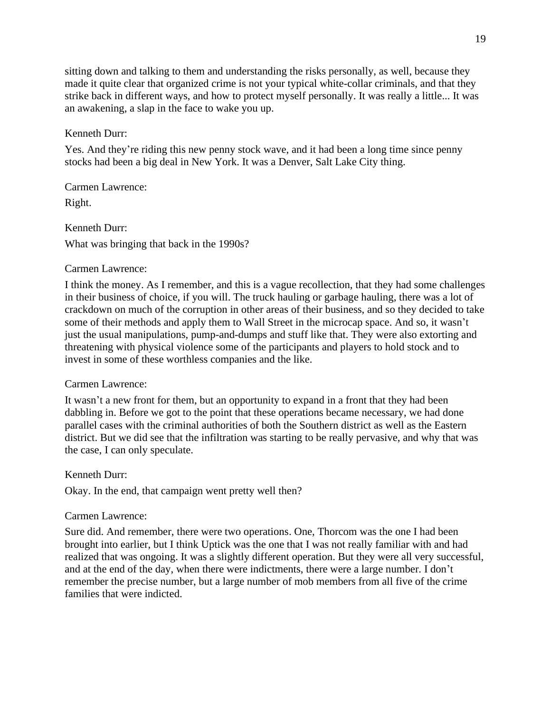sitting down and talking to them and understanding the risks personally, as well, because they made it quite clear that organized crime is not your typical white-collar criminals, and that they strike back in different ways, and how to protect myself personally. It was really a little... It was an awakening, a slap in the face to wake you up.

### Kenneth Durr:

Yes. And they're riding this new penny stock wave, and it had been a long time since penny stocks had been a big deal in New York. It was a Denver, Salt Lake City thing.

Carmen Lawrence:

Right.

Kenneth Durr: What was bringing that back in the 1990s?

### Carmen Lawrence:

I think the money. As I remember, and this is a vague recollection, that they had some challenges in their business of choice, if you will. The truck hauling or garbage hauling, there was a lot of crackdown on much of the corruption in other areas of their business, and so they decided to take some of their methods and apply them to Wall Street in the microcap space. And so, it wasn't just the usual manipulations, pump-and-dumps and stuff like that. They were also extorting and threatening with physical violence some of the participants and players to hold stock and to invest in some of these worthless companies and the like.

#### Carmen Lawrence:

It wasn't a new front for them, but an opportunity to expand in a front that they had been dabbling in. Before we got to the point that these operations became necessary, we had done parallel cases with the criminal authorities of both the Southern district as well as the Eastern district. But we did see that the infiltration was starting to be really pervasive, and why that was the case, I can only speculate.

#### Kenneth Durr:

Okay. In the end, that campaign went pretty well then?

#### Carmen Lawrence:

Sure did. And remember, there were two operations. One, Thorcom was the one I had been brought into earlier, but I think Uptick was the one that I was not really familiar with and had realized that was ongoing. It was a slightly different operation. But they were all very successful, and at the end of the day, when there were indictments, there were a large number. I don't remember the precise number, but a large number of mob members from all five of the crime families that were indicted.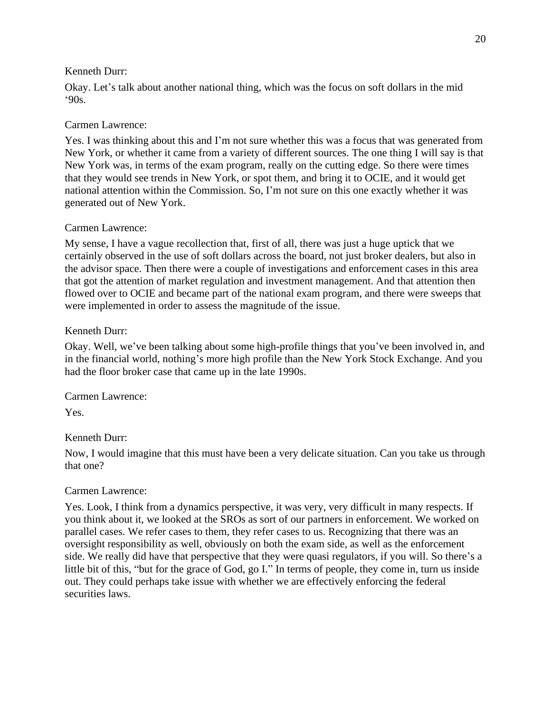Okay. Let's talk about another national thing, which was the focus on soft dollars in the mid '90s.

## Carmen Lawrence:

Yes. I was thinking about this and I'm not sure whether this was a focus that was generated from New York, or whether it came from a variety of different sources. The one thing I will say is that New York was, in terms of the exam program, really on the cutting edge. So there were times that they would see trends in New York, or spot them, and bring it to OCIE, and it would get national attention within the Commission. So, I'm not sure on this one exactly whether it was generated out of New York.

## Carmen Lawrence:

My sense, I have a vague recollection that, first of all, there was just a huge uptick that we certainly observed in the use of soft dollars across the board, not just broker dealers, but also in the advisor space. Then there were a couple of investigations and enforcement cases in this area that got the attention of market regulation and investment management. And that attention then flowed over to OCIE and became part of the national exam program, and there were sweeps that were implemented in order to assess the magnitude of the issue.

## Kenneth Durr:

Okay. Well, we've been talking about some high-profile things that you've been involved in, and in the financial world, nothing's more high profile than the New York Stock Exchange. And you had the floor broker case that came up in the late 1990s.

Carmen Lawrence:

Yes.

# Kenneth Durr:

Now, I would imagine that this must have been a very delicate situation. Can you take us through that one?

## Carmen Lawrence:

Yes. Look, I think from a dynamics perspective, it was very, very difficult in many respects. If you think about it, we looked at the SROs as sort of our partners in enforcement. We worked on parallel cases. We refer cases to them, they refer cases to us. Recognizing that there was an oversight responsibility as well, obviously on both the exam side, as well as the enforcement side. We really did have that perspective that they were quasi regulators, if you will. So there's a little bit of this, "but for the grace of God, go I." In terms of people, they come in, turn us inside out. They could perhaps take issue with whether we are effectively enforcing the federal securities laws.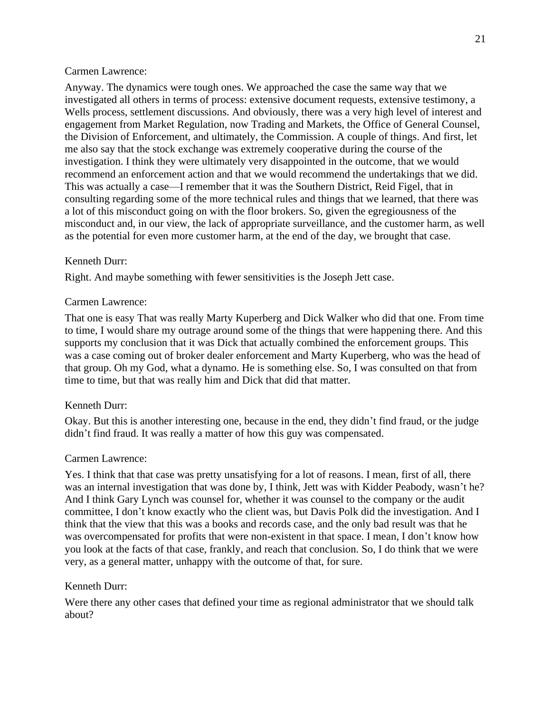Anyway. The dynamics were tough ones. We approached the case the same way that we investigated all others in terms of process: extensive document requests, extensive testimony, a Wells process, settlement discussions. And obviously, there was a very high level of interest and engagement from Market Regulation, now Trading and Markets, the Office of General Counsel, the Division of Enforcement, and ultimately, the Commission. A couple of things. And first, let me also say that the stock exchange was extremely cooperative during the course of the investigation. I think they were ultimately very disappointed in the outcome, that we would recommend an enforcement action and that we would recommend the undertakings that we did. This was actually a case—I remember that it was the Southern District, Reid Figel, that in consulting regarding some of the more technical rules and things that we learned, that there was a lot of this misconduct going on with the floor brokers. So, given the egregiousness of the misconduct and, in our view, the lack of appropriate surveillance, and the customer harm, as well as the potential for even more customer harm, at the end of the day, we brought that case.

### Kenneth Durr:

Right. And maybe something with fewer sensitivities is the Joseph Jett case.

### Carmen Lawrence:

That one is easy That was really Marty Kuperberg and Dick Walker who did that one. From time to time, I would share my outrage around some of the things that were happening there. And this supports my conclusion that it was Dick that actually combined the enforcement groups. This was a case coming out of broker dealer enforcement and Marty Kuperberg, who was the head of that group. Oh my God, what a dynamo. He is something else. So, I was consulted on that from time to time, but that was really him and Dick that did that matter.

## Kenneth Durr:

Okay. But this is another interesting one, because in the end, they didn't find fraud, or the judge didn't find fraud. It was really a matter of how this guy was compensated.

### Carmen Lawrence:

Yes. I think that that case was pretty unsatisfying for a lot of reasons. I mean, first of all, there was an internal investigation that was done by, I think, Jett was with Kidder Peabody, wasn't he? And I think Gary Lynch was counsel for, whether it was counsel to the company or the audit committee, I don't know exactly who the client was, but Davis Polk did the investigation. And I think that the view that this was a books and records case, and the only bad result was that he was overcompensated for profits that were non-existent in that space. I mean, I don't know how you look at the facts of that case, frankly, and reach that conclusion. So, I do think that we were very, as a general matter, unhappy with the outcome of that, for sure.

## Kenneth Durr:

Were there any other cases that defined your time as regional administrator that we should talk about?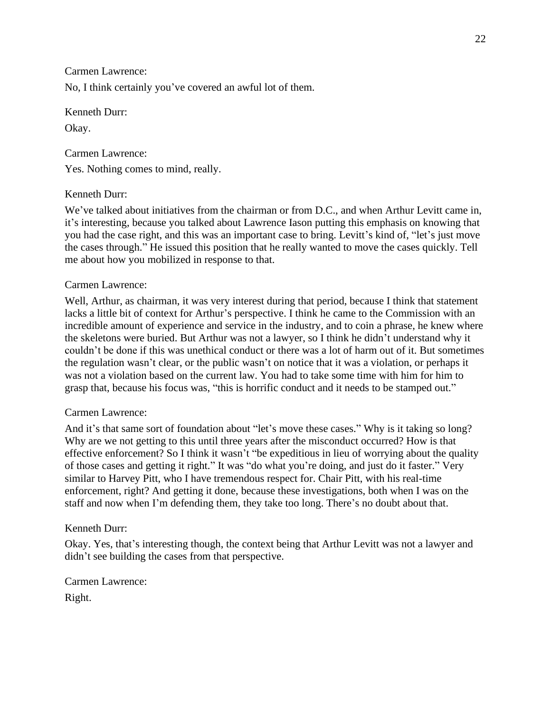No, I think certainly you've covered an awful lot of them.

Kenneth Durr: Okay.

Carmen Lawrence: Yes. Nothing comes to mind, really.

## Kenneth Durr:

We've talked about initiatives from the chairman or from D.C., and when Arthur Levitt came in, it's interesting, because you talked about Lawrence Iason putting this emphasis on knowing that you had the case right, and this was an important case to bring. Levitt's kind of, "let's just move the cases through." He issued this position that he really wanted to move the cases quickly. Tell me about how you mobilized in response to that.

### Carmen Lawrence:

Well, Arthur, as chairman, it was very interest during that period, because I think that statement lacks a little bit of context for Arthur's perspective. I think he came to the Commission with an incredible amount of experience and service in the industry, and to coin a phrase, he knew where the skeletons were buried. But Arthur was not a lawyer, so I think he didn't understand why it couldn't be done if this was unethical conduct or there was a lot of harm out of it. But sometimes the regulation wasn't clear, or the public wasn't on notice that it was a violation, or perhaps it was not a violation based on the current law. You had to take some time with him for him to grasp that, because his focus was, "this is horrific conduct and it needs to be stamped out."

### Carmen Lawrence:

And it's that same sort of foundation about "let's move these cases." Why is it taking so long? Why are we not getting to this until three years after the misconduct occurred? How is that effective enforcement? So I think it wasn't "be expeditious in lieu of worrying about the quality of those cases and getting it right." It was "do what you're doing, and just do it faster." Very similar to Harvey Pitt, who I have tremendous respect for. Chair Pitt, with his real-time enforcement, right? And getting it done, because these investigations, both when I was on the staff and now when I'm defending them, they take too long. There's no doubt about that.

### Kenneth Durr:

Okay. Yes, that's interesting though, the context being that Arthur Levitt was not a lawyer and didn't see building the cases from that perspective.

Carmen Lawrence:

Right.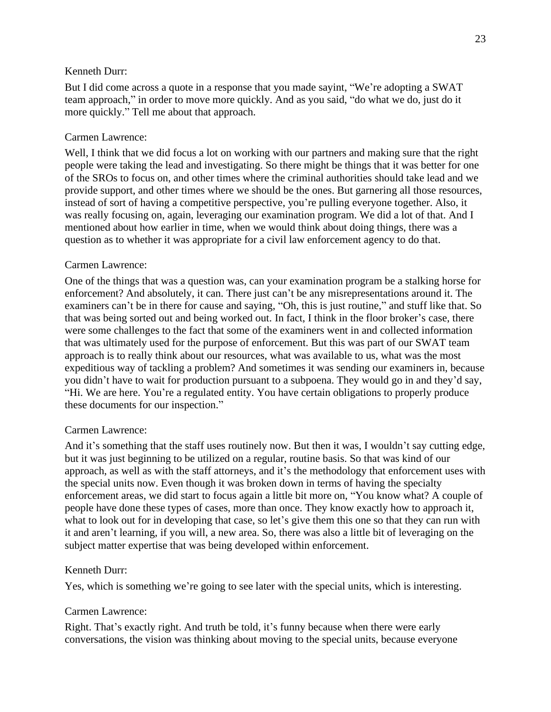But I did come across a quote in a response that you made sayint, "We're adopting a SWAT team approach," in order to move more quickly. And as you said, "do what we do, just do it more quickly." Tell me about that approach.

### Carmen Lawrence:

Well, I think that we did focus a lot on working with our partners and making sure that the right people were taking the lead and investigating. So there might be things that it was better for one of the SROs to focus on, and other times where the criminal authorities should take lead and we provide support, and other times where we should be the ones. But garnering all those resources, instead of sort of having a competitive perspective, you're pulling everyone together. Also, it was really focusing on, again, leveraging our examination program. We did a lot of that. And I mentioned about how earlier in time, when we would think about doing things, there was a question as to whether it was appropriate for a civil law enforcement agency to do that.

### Carmen Lawrence:

One of the things that was a question was, can your examination program be a stalking horse for enforcement? And absolutely, it can. There just can't be any misrepresentations around it. The examiners can't be in there for cause and saying, "Oh, this is just routine," and stuff like that. So that was being sorted out and being worked out. In fact, I think in the floor broker's case, there were some challenges to the fact that some of the examiners went in and collected information that was ultimately used for the purpose of enforcement. But this was part of our SWAT team approach is to really think about our resources, what was available to us, what was the most expeditious way of tackling a problem? And sometimes it was sending our examiners in, because you didn't have to wait for production pursuant to a subpoena. They would go in and they'd say, "Hi. We are here. You're a regulated entity. You have certain obligations to properly produce these documents for our inspection."

## Carmen Lawrence:

And it's something that the staff uses routinely now. But then it was, I wouldn't say cutting edge, but it was just beginning to be utilized on a regular, routine basis. So that was kind of our approach, as well as with the staff attorneys, and it's the methodology that enforcement uses with the special units now. Even though it was broken down in terms of having the specialty enforcement areas, we did start to focus again a little bit more on, "You know what? A couple of people have done these types of cases, more than once. They know exactly how to approach it, what to look out for in developing that case, so let's give them this one so that they can run with it and aren't learning, if you will, a new area. So, there was also a little bit of leveraging on the subject matter expertise that was being developed within enforcement.

## Kenneth Durr:

Yes, which is something we're going to see later with the special units, which is interesting.

## Carmen Lawrence:

Right. That's exactly right. And truth be told, it's funny because when there were early conversations, the vision was thinking about moving to the special units, because everyone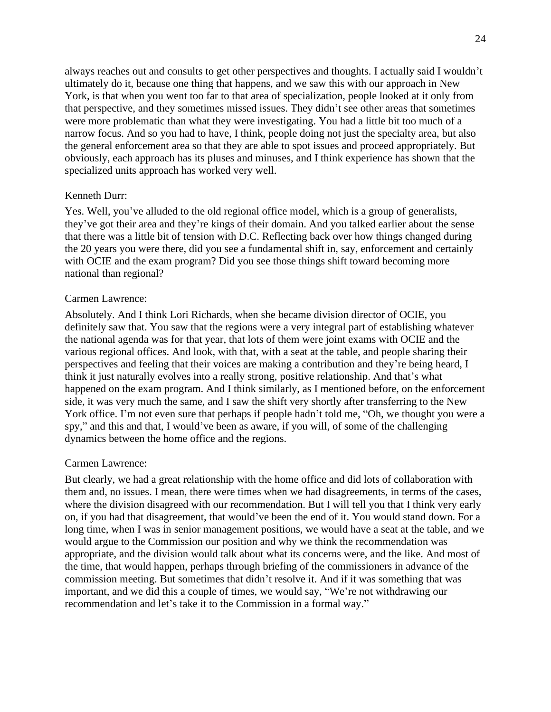always reaches out and consults to get other perspectives and thoughts. I actually said I wouldn't ultimately do it, because one thing that happens, and we saw this with our approach in New York, is that when you went too far to that area of specialization, people looked at it only from that perspective, and they sometimes missed issues. They didn't see other areas that sometimes were more problematic than what they were investigating. You had a little bit too much of a narrow focus. And so you had to have, I think, people doing not just the specialty area, but also the general enforcement area so that they are able to spot issues and proceed appropriately. But obviously, each approach has its pluses and minuses, and I think experience has shown that the specialized units approach has worked very well.

#### Kenneth Durr:

Yes. Well, you've alluded to the old regional office model, which is a group of generalists, they've got their area and they're kings of their domain. And you talked earlier about the sense that there was a little bit of tension with D.C. Reflecting back over how things changed during the 20 years you were there, did you see a fundamental shift in, say, enforcement and certainly with OCIE and the exam program? Did you see those things shift toward becoming more national than regional?

#### Carmen Lawrence:

Absolutely. And I think Lori Richards, when she became division director of OCIE, you definitely saw that. You saw that the regions were a very integral part of establishing whatever the national agenda was for that year, that lots of them were joint exams with OCIE and the various regional offices. And look, with that, with a seat at the table, and people sharing their perspectives and feeling that their voices are making a contribution and they're being heard, I think it just naturally evolves into a really strong, positive relationship. And that's what happened on the exam program. And I think similarly, as I mentioned before, on the enforcement side, it was very much the same, and I saw the shift very shortly after transferring to the New York office. I'm not even sure that perhaps if people hadn't told me, "Oh, we thought you were a spy," and this and that, I would've been as aware, if you will, of some of the challenging dynamics between the home office and the regions.

#### Carmen Lawrence:

But clearly, we had a great relationship with the home office and did lots of collaboration with them and, no issues. I mean, there were times when we had disagreements, in terms of the cases, where the division disagreed with our recommendation. But I will tell you that I think very early on, if you had that disagreement, that would've been the end of it. You would stand down. For a long time, when I was in senior management positions, we would have a seat at the table, and we would argue to the Commission our position and why we think the recommendation was appropriate, and the division would talk about what its concerns were, and the like. And most of the time, that would happen, perhaps through briefing of the commissioners in advance of the commission meeting. But sometimes that didn't resolve it. And if it was something that was important, and we did this a couple of times, we would say, "We're not withdrawing our recommendation and let's take it to the Commission in a formal way."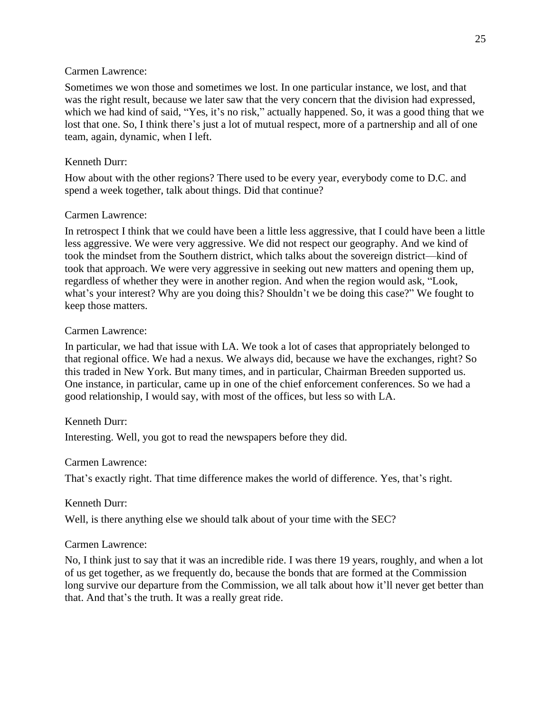Sometimes we won those and sometimes we lost. In one particular instance, we lost, and that was the right result, because we later saw that the very concern that the division had expressed, which we had kind of said, "Yes, it's no risk," actually happened. So, it was a good thing that we lost that one. So, I think there's just a lot of mutual respect, more of a partnership and all of one team, again, dynamic, when I left.

## Kenneth Durr:

How about with the other regions? There used to be every year, everybody come to D.C. and spend a week together, talk about things. Did that continue?

## Carmen Lawrence:

In retrospect I think that we could have been a little less aggressive, that I could have been a little less aggressive. We were very aggressive. We did not respect our geography. And we kind of took the mindset from the Southern district, which talks about the sovereign district—kind of took that approach. We were very aggressive in seeking out new matters and opening them up, regardless of whether they were in another region. And when the region would ask, "Look, what's your interest? Why are you doing this? Shouldn't we be doing this case?" We fought to keep those matters.

## Carmen Lawrence:

In particular, we had that issue with LA. We took a lot of cases that appropriately belonged to that regional office. We had a nexus. We always did, because we have the exchanges, right? So this traded in New York. But many times, and in particular, Chairman Breeden supported us. One instance, in particular, came up in one of the chief enforcement conferences. So we had a good relationship, I would say, with most of the offices, but less so with LA.

# Kenneth Durr:

Interesting. Well, you got to read the newspapers before they did.

## Carmen Lawrence:

That's exactly right. That time difference makes the world of difference. Yes, that's right.

## Kenneth Durr:

Well, is there anything else we should talk about of your time with the SEC?

# Carmen Lawrence:

No, I think just to say that it was an incredible ride. I was there 19 years, roughly, and when a lot of us get together, as we frequently do, because the bonds that are formed at the Commission long survive our departure from the Commission, we all talk about how it'll never get better than that. And that's the truth. It was a really great ride.